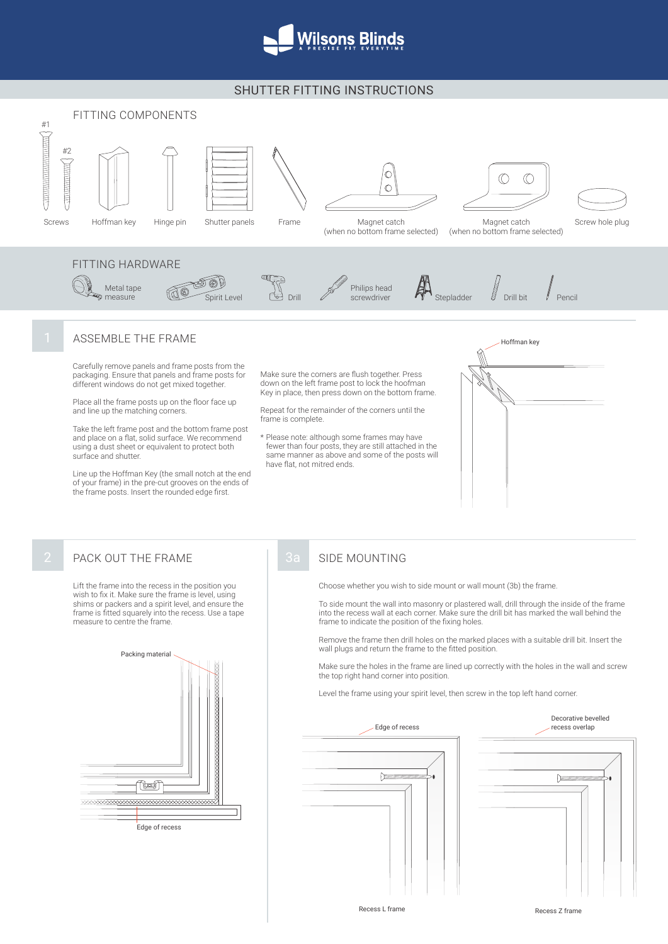

## SHUTTER FITTING INSTRUCTIONS



Level the frame using your spirit level, then screw in the top left hand corner.



**Edge of recess** 

<u>tej</u> 

Recess L frame **Recess Z** frame